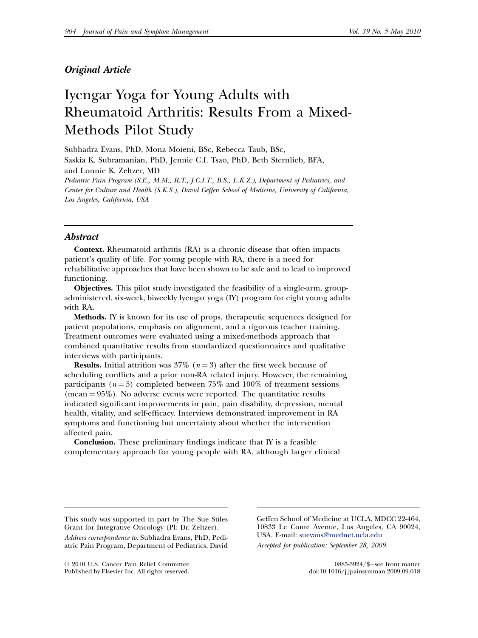# Original Article

# Iyengar Yoga for Young Adults with Rheumatoid Arthritis: Results From a Mixed-Methods Pilot Study

Subhadra Evans, PhD, Mona Moieni, BSc, Rebecca Taub, BSc, Saskia K. Subramanian, PhD, Jennie C.I. Tsao, PhD, Beth Sternlieb, BFA, and Lonnie K. Zeltzer, MD Pediatric Pain Program (S.E., M.M., R.T., J.C.I.T., B.S., L.K.Z.), Department of Pediatrics, and Center for Culture and Health (S.K.S.), David Geffen School of Medicine, University of California,

#### **Abstract**

Los Angeles, California, USA

Context. Rheumatoid arthritis (RA) is a chronic disease that often impacts patient's quality of life. For young people with RA, there is a need for rehabilitative approaches that have been shown to be safe and to lead to improved functioning.

Objectives. This pilot study investigated the feasibility of a single-arm, groupadministered, six-week, biweekly Iyengar yoga (IY) program for eight young adults with RA.

Methods. IY is known for its use of props, therapeutic sequences designed for patient populations, emphasis on alignment, and a rigorous teacher training. Treatment outcomes were evaluated using a mixed-methods approach that combined quantitative results from standardized questionnaires and qualitative interviews with participants.

**Results.** Initial attrition was 37% ( $n = 3$ ) after the first week because of scheduling conflicts and a prior non-RA related injury. However, the remaining participants ( $n = 5$ ) completed between 75% and 100% of treatment sessions (mean  $= 95\%$ ). No adverse events were reported. The quantitative results indicated significant improvements in pain, pain disability, depression, mental health, vitality, and self-efficacy. Interviews demonstrated improvement in RA symptoms and functioning but uncertainty about whether the intervention affected pain.

Conclusion. These preliminary findings indicate that IY is a feasible complementary approach for young people with RA, although larger clinical

- 2010 U.S. Cancer Pain Relief Committee Published by Elsevier Inc. All rights reserved. Geffen School of Medicine at UCLA, MDCC 22-464, 10833 Le Conte Avenue, Los Angeles, CA 90024, USA. E-mail: [suevans@mednet.ucla.edu](mailto:suevans@mednet.ucla.edu)

Accepted for publication: September 28, 2009.

0885-3924/\$-see front matter doi:10.1016/j.jpainsymman.2009.09.018

This study was supported in part by The Sue Stiles Grant for Integrative Oncology (PI: Dr. Zeltzer). Address correspondence to: Subhadra Evans, PhD, Pediatric Pain Program, Department of Pediatrics, David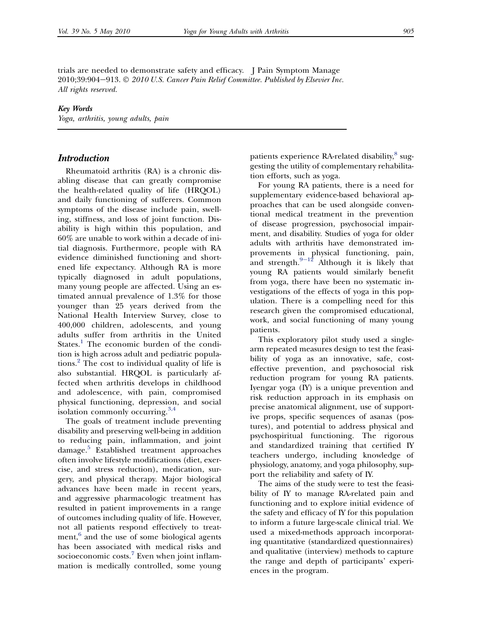trials are needed to demonstrate safety and efficacy. J Pain Symptom Manage 2010;39:904–913. © 2010 U.S. Cancer Pain Relief Committee. Published by Elsevier Inc. All rights reserved.

#### Key Words

Yoga, arthritis, young adults, pain

## **Introduction**

Rheumatoid arthritis (RA) is a chronic disabling disease that can greatly compromise the health-related quality of life (HRQOL) and daily functioning of sufferers. Common symptoms of the disease include pain, swelling, stiffness, and loss of joint function. Disability is high within this population, and 60% are unable to work within a decade of initial diagnosis. Furthermore, people with RA evidence diminished functioning and shortened life expectancy. Although RA is more typically diagnosed in adult populations, many young people are affected. Using an estimated annual prevalence of 1.3% for those younger than 25 years derived from the National Health Interview Survey, close to 400,000 children, adolescents, and young adults suffer from arthritis in the United States.<sup>[1](#page-9-0)</sup> The economic burden of the condition is high across adult and pediatric popula-tions.<sup>[2](#page-9-0)</sup> The cost to individual quality of life is also substantial. HRQOL is particularly affected when arthritis develops in childhood and adolescence, with pain, compromised physical functioning, depression, and social isolation commonly occurring.<sup>[3,4](#page-9-0)</sup>

The goals of treatment include preventing disability and preserving well-being in addition to reducing pain, inflammation, and joint damage.<sup>[5](#page-9-0)</sup> Established treatment approaches often involve lifestyle modifications (diet, exercise, and stress reduction), medication, surgery, and physical therapy. Major biological advances have been made in recent years, and aggressive pharmacologic treatment has resulted in patient improvements in a range of outcomes including quality of life. However, not all patients respond effectively to treatment, $6$  and the use of some biological agents has been associated with medical risks and socioeconomic costs. $7$  Even when joint inflammation is medically controlled, some young

patients experience RA-related disability,<sup>[8](#page-9-0)</sup> suggesting the utility of complementary rehabilitation efforts, such as yoga.

For young RA patients, there is a need for supplementary evidence-based behavioral approaches that can be used alongside conventional medical treatment in the prevention of disease progression, psychosocial impairment, and disability. Studies of yoga for older adults with arthritis have demonstrated improvements in physical functioning, pain, and strength. $9-12$  $9-12$  Although it is likely that young RA patients would similarly benefit from yoga, there have been no systematic investigations of the effects of yoga in this population. There is a compelling need for this research given the compromised educational, work, and social functioning of many young patients.

This exploratory pilot study used a singlearm repeated measures design to test the feasibility of yoga as an innovative, safe, costeffective prevention, and psychosocial risk reduction program for young RA patients. Iyengar yoga (IY) is a unique prevention and risk reduction approach in its emphasis on precise anatomical alignment, use of supportive props, specific sequences of asanas (postures), and potential to address physical and psychospiritual functioning. The rigorous and standardized training that certified IY teachers undergo, including knowledge of physiology, anatomy, and yoga philosophy, support the reliability and safety of IY.

The aims of the study were to test the feasibility of IY to manage RA-related pain and functioning and to explore initial evidence of the safety and efficacy of IY for this population to inform a future large-scale clinical trial. We used a mixed-methods approach incorporating quantitative (standardized questionnaires) and qualitative (interview) methods to capture the range and depth of participants' experiences in the program.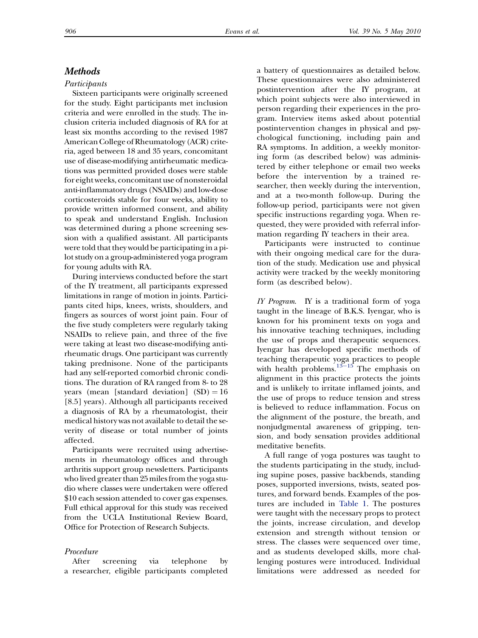## **Methods**

#### Participants

Sixteen participants were originally screened for the study. Eight participants met inclusion criteria and were enrolled in the study. The inclusion criteria included diagnosis of RA for at least six months according to the revised 1987 American College of Rheumatology (ACR) criteria, aged between 18 and 35 years, concomitant use of disease-modifying antirheumatic medications was permitted provided doses were stable for eight weeks, concomitant use of nonsteroidal anti-inflammatory drugs (NSAIDs) and low-dose corticosteroids stable for four weeks, ability to provide written informed consent, and ability to speak and understand English. Inclusion was determined during a phone screening session with a qualified assistant. All participants were told that they would be participating in a pilot study on a group-administered yoga program for young adults with RA.

During interviews conducted before the start of the IY treatment, all participants expressed limitations in range of motion in joints. Participants cited hips, knees, wrists, shoulders, and fingers as sources of worst joint pain. Four of the five study completers were regularly taking NSAIDs to relieve pain, and three of the five were taking at least two disease-modifying antirheumatic drugs. One participant was currently taking prednisone. None of the participants had any self-reported comorbid chronic conditions. The duration of RA ranged from 8- to 28 years (mean [standard deviation]  $(SD) = 16$ [8.5] years). Although all participants received a diagnosis of RA by a rheumatologist, their medical history was not available to detail the severity of disease or total number of joints affected.

Participants were recruited using advertisements in rheumatology offices and through arthritis support group newsletters. Participants who lived greater than 25 miles from the yoga studio where classes were undertaken were offered \$10 each session attended to cover gas expenses. Full ethical approval for this study was received from the UCLA Institutional Review Board, Office for Protection of Research Subjects.

#### Procedure

After screening via telephone by a researcher, eligible participants completed

a battery of questionnaires as detailed below. These questionnaires were also administered postintervention after the IY program, at which point subjects were also interviewed in person regarding their experiences in the program. Interview items asked about potential postintervention changes in physical and psychological functioning, including pain and RA symptoms. In addition, a weekly monitoring form (as described below) was administered by either telephone or email two weeks before the intervention by a trained researcher, then weekly during the intervention, and at a two-month follow-up. During the follow-up period, participants were not given specific instructions regarding yoga. When requested, they were provided with referral information regarding IY teachers in their area.

Participants were instructed to continue with their ongoing medical care for the duration of the study. Medication use and physical activity were tracked by the weekly monitoring form (as described below).

IY Program. IY is a traditional form of yoga taught in the lineage of B.K.S. Iyengar, who is known for his prominent texts on yoga and his innovative teaching techniques, including the use of props and therapeutic sequences. Iyengar has developed specific methods of teaching therapeutic [yoga p](#page-9-0)ractices to people with health problems.<sup>13–15</sup> The emphasis on alignment in this practice protects the joints and is unlikely to irritate inflamed joints, and the use of props to reduce tension and stress is believed to reduce inflammation. Focus on the alignment of the posture, the breath, and nonjudgmental awareness of gripping, tension, and body sensation provides additional meditative benefits.

A full range of yoga postures was taught to the students participating in the study, including supine poses, passive backbends, standing poses, supported inversions, twists, seated postures, and forward bends. Examples of the postures are included in [Table 1.](#page-3-0) The postures were taught with the necessary props to protect the joints, increase circulation, and develop extension and strength without tension or stress. The classes were sequenced over time, and as students developed skills, more challenging postures were introduced. Individual limitations were addressed as needed for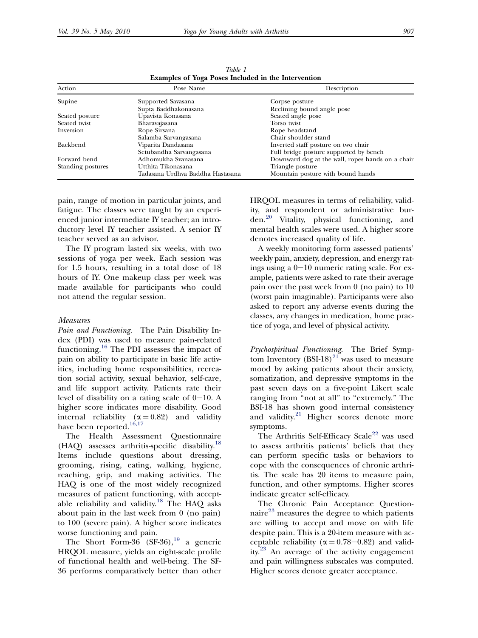<span id="page-3-0"></span>

| <b>Examples of Yoga Poses Included in the Intervention</b> |                                  |                                                  |  |  |  |  |
|------------------------------------------------------------|----------------------------------|--------------------------------------------------|--|--|--|--|
| Action                                                     | Pose Name                        | Description                                      |  |  |  |  |
| Supine                                                     | Supported Savasana               | Corpse posture                                   |  |  |  |  |
|                                                            | Supta Baddhakonasana             | Reclining bound angle pose                       |  |  |  |  |
| Seated posture                                             | Upavista Konasana                | Seated angle pose                                |  |  |  |  |
| Seated twist                                               | Bharavajasana                    | Torso twist                                      |  |  |  |  |
| Inversion                                                  | Rope Sirsana                     | Rope headstand                                   |  |  |  |  |
|                                                            | Salamba Sarvangasana             | Chair shoulder stand                             |  |  |  |  |
| Backbend                                                   | Viparita Dandasana               | Inverted staff posture on two chair              |  |  |  |  |
|                                                            | Setubandha Sarvangasana          | Full bridge posture supported by bench           |  |  |  |  |
| Forward bend                                               | Adhomukha Svanasana              | Downward dog at the wall, ropes hands on a chair |  |  |  |  |
| Standing postures                                          | Utthita Tikonasana               | Triangle posture                                 |  |  |  |  |
|                                                            | Tadasana Urdhva Baddha Hastasana | Mountain posture with bound hands                |  |  |  |  |

Table 1 Examples of Yoga Poses Included in the Intervention

pain, range of motion in particular joints, and fatigue. The classes were taught by an experienced junior intermediate IY teacher; an introductory level IY teacher assisted. A senior IY teacher served as an advisor.

The IY program lasted six weeks, with two sessions of yoga per week. Each session was for 1.5 hours, resulting in a total dose of 18 hours of IY. One makeup class per week was made available for participants who could not attend the regular session.

#### Measures

Pain and Functioning. The Pain Disability Index (PDI) was used to measure pain-related functioning.<sup>[16](#page-9-0)</sup> The PDI assesses the impact of pain on ability to participate in basic life activities, including home responsibilities, recreation social activity, sexual behavior, self-care, and life support activity. Patients rate their level of disability on a rating scale of  $0-10$ . A higher score indicates more disability. Good internal reliability ( $\alpha = 0.82$ ) and validity have been reported.<sup>[16,17](#page-9-0)</sup>

The Health Assessment Questionnaire (HAQ) assesses arthritis-specific disability.[18](#page-9-0) Items include questions about dressing, grooming, rising, eating, walking, hygiene, reaching, grip, and making activities. The HAQ is one of the most widely recognized measures of patient functioning, with accept-able reliability and validity.<sup>[18](#page-9-0)</sup> The HAQ asks about pain in the last week from 0 (no pain) to 100 (severe pain). A higher score indicates worse functioning and pain.

The Short Form-36  $(SF-36),^{19}$  $(SF-36),^{19}$  $(SF-36),^{19}$  a generic HRQOL measure, yields an eight-scale profile of functional health and well-being. The SF-36 performs comparatively better than other

HRQOL measures in terms of reliability, validity, and respondent or administrative burden.[20](#page-9-0) Vitality, physical functioning, and mental health scales were used. A higher score denotes increased quality of life.

A weekly monitoring form assessed patients' weekly pain, anxiety, depression, and energy ratings using a  $0-10$  numeric rating scale. For example, patients were asked to rate their average pain over the past week from 0 (no pain) to 10 (worst pain imaginable). Participants were also asked to report any adverse events during the classes, any changes in medication, home practice of yoga, and level of physical activity.

Psychospiritual Functioning. The Brief Symptom Inventory  $(BSI-18)^{21}$  was used to measure mood by asking patients about their anxiety, somatization, and depressive symptoms in the past seven days on a five-point Likert scale ranging from "not at all" to "extremely." The BSI-18 has shown good internal consistency and validity.<sup>[21](#page-9-0)</sup> Higher scores denote more symptoms.

The Arthritis Self-Efficacy Scale<sup>[22](#page-9-0)</sup> was used to assess arthritis patients' beliefs that they can perform specific tasks or behaviors to cope with the consequences of chronic arthritis. The scale has 20 items to measure pain, function, and other symptoms. Higher scores indicate greater self-efficacy.

The Chronic Pain Acceptance Questionnaire $^{23}$  $^{23}$  $^{23}$  measures the degree to which patients are willing to accept and move on with life despite pain. This is a 20-item measure with acceptable reliability ( $\alpha = 0.78 - 0.82$ ) and validity.<sup>23</sup> An average of the activity engagement and pain willingness subscales was computed. Higher scores denote greater acceptance.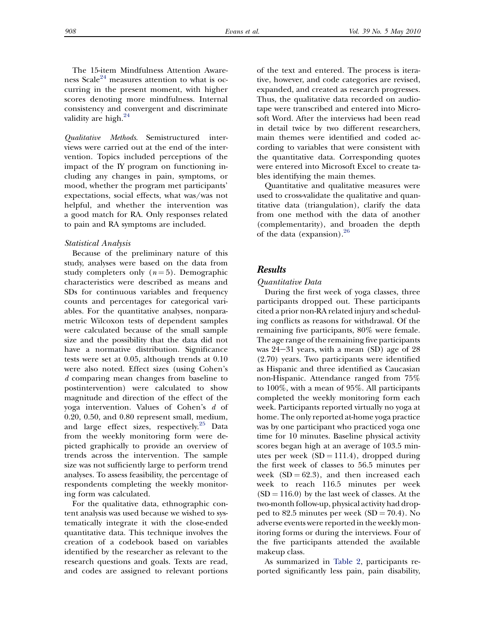The 15-item Mindfulness Attention Aware-ness Scale<sup>[24](#page-9-0)</sup> measures attention to what is occurring in the present moment, with higher scores denoting more mindfulness. Internal consistency and convergent and discriminate validity are high.<sup>[24](#page-9-0)</sup>

Qualitative Methods. Semistructured interviews were carried out at the end of the intervention. Topics included perceptions of the impact of the IY program on functioning including any changes in pain, symptoms, or mood, whether the program met participants' expectations, social effects, what was/was not helpful, and whether the intervention was a good match for RA. Only responses related to pain and RA symptoms are included.

#### Statistical Analysis

Because of the preliminary nature of this study, analyses were based on the data from study completers only  $(n = 5)$ . Demographic characteristics were described as means and SDs for continuous variables and frequency counts and percentages for categorical variables. For the quantitative analyses, nonparametric Wilcoxon tests of dependent samples were calculated because of the small sample size and the possibility that the data did not have a normative distribution. Significance tests were set at 0.05, although trends at 0.10 were also noted. Effect sizes (using Cohen's d comparing mean changes from baseline to postintervention) were calculated to show magnitude and direction of the effect of the yoga intervention. Values of Cohen's d of 0.20, 0.50, and 0.80 represent small, medium, and large effect sizes, respectively.<sup>[25](#page-9-0)</sup> Data from the weekly monitoring form were depicted graphically to provide an overview of trends across the intervention. The sample size was not sufficiently large to perform trend analyses. To assess feasibility, the percentage of respondents completing the weekly monitoring form was calculated.

For the qualitative data, ethnographic content analysis was used because we wished to systematically integrate it with the close-ended quantitative data. This technique involves the creation of a codebook based on variables identified by the researcher as relevant to the research questions and goals. Texts are read, and codes are assigned to relevant portions

of the text and entered. The process is iterative, however, and code categories are revised, expanded, and created as research progresses. Thus, the qualitative data recorded on audiotape were transcribed and entered into Microsoft Word. After the interviews had been read in detail twice by two different researchers, main themes were identified and coded according to variables that were consistent with the quantitative data. Corresponding quotes were entered into Microsoft Excel to create tables identifying the main themes.

Quantitative and qualitative measures were used to cross-validate the qualitative and quantitative data (triangulation), clarify the data from one method with the data of another (complementarity), and broaden the depth of the data (expansion).<sup>[26](#page-9-0)</sup>

# **Results**

#### Quantitative Data

During the first week of yoga classes, three participants dropped out. These participants cited a prior non-RA related injury and scheduling conflicts as reasons for withdrawal. Of the remaining five participants, 80% were female. The age range of the remaining five participants was  $24-31$  years, with a mean (SD) age of  $28$ (2.70) years. Two participants were identified as Hispanic and three identified as Caucasian non-Hispanic. Attendance ranged from 75% to 100%, with a mean of 95%. All participants completed the weekly monitoring form each week. Participants reported virtually no yoga at home. The only reported at-home yoga practice was by one participant who practiced yoga one time for 10 minutes. Baseline physical activity scores began high at an average of 103.5 minutes per week  $(SD = 111.4)$ , dropped during the first week of classes to 56.5 minutes per week  $(SD = 62.3)$ , and then increased each week to reach 116.5 minutes per week  $(SD = 116.0)$  by the last week of classes. At the two-month follow-up, physical activity had dropped to 82.5 minutes per week  $(SD = 70.4)$ . No adverse events were reported in the weekly monitoring forms or during the interviews. Four of the five participants attended the available makeup class.

As summarized in [Table 2](#page-5-0), participants reported significantly less pain, pain disability,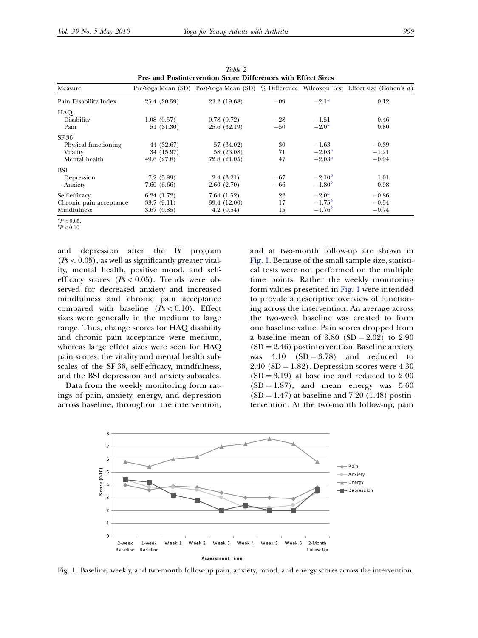<span id="page-5-0"></span>

| Pre- and Postintervention Score Differences with Effect Sizes |              |              |       |                 |                                                                                           |  |  |  |
|---------------------------------------------------------------|--------------|--------------|-------|-----------------|-------------------------------------------------------------------------------------------|--|--|--|
| Measure                                                       |              |              |       |                 | Pre-Yoga Mean (SD) Post-Yoga Mean (SD) % Difference Wilcoxon Test Effect size (Cohen's d) |  |  |  |
| Pain Disability Index                                         | 25.4 (20.59) | 23.2 (19.68) | $-09$ | $-2.1^{\circ}$  | 0.12                                                                                      |  |  |  |
| <b>HAQ</b>                                                    |              |              |       |                 |                                                                                           |  |  |  |
| Disability                                                    | 1.08(0.57)   | 0.78(0.72)   | $-28$ | $-1.51$         | 0.46                                                                                      |  |  |  |
| Pain                                                          | 51 (31.30)   | 25.6 (32.19) | $-50$ | $-2.0^a$        | 0.80                                                                                      |  |  |  |
| SF-36                                                         |              |              |       |                 |                                                                                           |  |  |  |
| Physical functioning                                          | 44 (32.67)   | 57 (34.02)   | 30    | $-1.63$         | $-0.39$                                                                                   |  |  |  |
| Vitality                                                      | 34 (15.97)   | 58 (23.08)   | 71    | $-2.03^{\circ}$ | $-1.21$                                                                                   |  |  |  |
| Mental health                                                 | 49.6 (27.8)  | 72.8 (21.05) | 47    | $-2.03^{\circ}$ | $-0.94$                                                                                   |  |  |  |
| BSI                                                           |              |              |       |                 |                                                                                           |  |  |  |
| Depression                                                    | 7.2(5.89)    | 2.4(3.21)    | $-67$ | $-2.10^a$       | 1.01                                                                                      |  |  |  |
| Anxiety                                                       | 7.60(6.66)   | 2.60(2.70)   | $-66$ | $-1.80^{b}$     | 0.98                                                                                      |  |  |  |
| Self-efficacy                                                 | 6.24(1.72)   | 7.64(1.52)   | 22    | $-2.0^a$        | $-0.86$                                                                                   |  |  |  |
| Chronic pain acceptance                                       | 33.7 (9.11)  | 39.4 (12.00) | 17    | $-1.75^{b}$     | $-0.54$                                                                                   |  |  |  |
| Mindfulness                                                   | 3.67(0.85)   | 4.2(0.54)    | 15    | $-1.76^{b}$     | $-0.74$                                                                                   |  |  |  |

Table 2

 ${}_{b}^{a}P < 0.05$ .<br> ${}_{b}^{b}P > 0.10$ .

 $^{b}P < 0.10$ .

and depression after the IY program  $(P<sub>8</sub> < 0.05)$ , as well as significantly greater vitality, mental health, positive mood, and selfefficacy scores  $(P_s < 0.05)$ . Trends were observed for decreased anxiety and increased mindfulness and chronic pain acceptance compared with baseline  $(P_s < 0.10)$ . Effect sizes were generally in the medium to large range. Thus, change scores for HAQ disability and chronic pain acceptance were medium, whereas large effect sizes were seen for HAQ pain scores, the vitality and mental health subscales of the SF-36, self-efficacy, mindfulness, and the BSI depression and anxiety subscales.

Data from the weekly monitoring form ratings of pain, anxiety, energy, and depression across baseline, throughout the intervention, and at two-month follow-up are shown in Fig. 1. Because of the small sample size, statistical tests were not performed on the multiple time points. Rather the weekly monitoring form values presented in Fig. 1 were intended to provide a descriptive overview of functioning across the intervention. An average across the two-week baseline was created to form one baseline value. Pain scores dropped from a baseline mean of 3.80 (SD = 2.02) to 2.90  $(SD = 2.46)$  postintervention. Baseline anxiety was  $4.10 \quad (SD = 3.78)$  and reduced to 2.40 (SD = 1.82). Depression scores were  $4.30$  $(SD = 3.19)$  at baseline and reduced to 2.00  $(SD = 1.87)$ , and mean energy was 5.60  $(SD = 1.47)$  at baseline and 7.20 (1.48) postintervention. At the two-month follow-up, pain



Fig. 1. Baseline, weekly, and two-month follow-up pain, anxiety, mood, and energy scores across the intervention.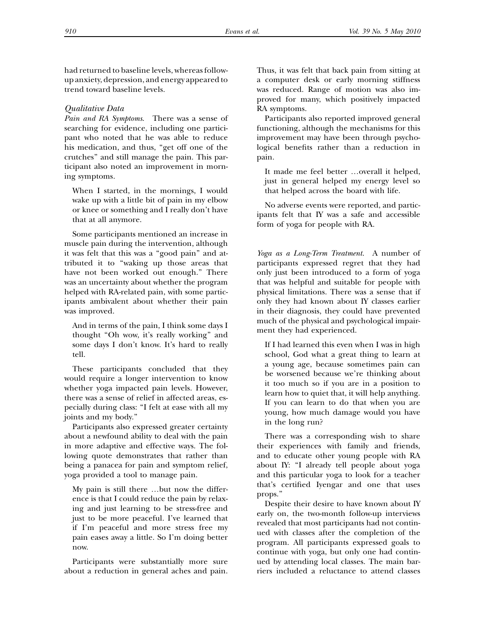had returned to baseline levels, whereas followup anxiety, depression, and energy appeared to trend toward baseline levels.

## Qualitative Data

Pain and RA Symptoms. There was a sense of searching for evidence, including one participant who noted that he was able to reduce his medication, and thus, "get off one of the crutches'' and still manage the pain. This participant also noted an improvement in morning symptoms.

When I started, in the mornings, I would wake up with a little bit of pain in my elbow or knee or something and I really don't have that at all anymore.

Some participants mentioned an increase in muscle pain during the intervention, although it was felt that this was a "good pain" and attributed it to ''waking up those areas that have not been worked out enough.'' There was an uncertainty about whether the program helped with RA-related pain, with some participants ambivalent about whether their pain was improved.

And in terms of the pain, I think some days I thought ''Oh wow, it's really working'' and some days I don't know. It's hard to really tell.

These participants concluded that they would require a longer intervention to know whether yoga impacted pain levels. However, there was a sense of relief in affected areas, especially during class: ''I felt at ease with all my joints and my body.''

Participants also expressed greater certainty about a newfound ability to deal with the pain in more adaptive and effective ways. The following quote demonstrates that rather than being a panacea for pain and symptom relief, yoga provided a tool to manage pain.

My pain is still there ...but now the difference is that I could reduce the pain by relaxing and just learning to be stress-free and just to be more peaceful. I've learned that if I'm peaceful and more stress free my pain eases away a little. So I'm doing better now.

Participants were substantially more sure about a reduction in general aches and pain.

Thus, it was felt that back pain from sitting at a computer desk or early morning stiffness was reduced. Range of motion was also improved for many, which positively impacted RA symptoms.

Participants also reported improved general functioning, although the mechanisms for this improvement may have been through psychological benefits rather than a reduction in pain.

It made me feel better ...overall it helped, just in general helped my energy level so that helped across the board with life.

No adverse events were reported, and participants felt that IY was a safe and accessible form of yoga for people with RA.

Yoga as a Long-Term Treatment. A number of participants expressed regret that they had only just been introduced to a form of yoga that was helpful and suitable for people with physical limitations. There was a sense that if only they had known about IY classes earlier in their diagnosis, they could have prevented much of the physical and psychological impairment they had experienced.

If I had learned this even when I was in high school, God what a great thing to learn at a young age, because sometimes pain can be worsened because we're thinking about it too much so if you are in a position to learn how to quiet that, it will help anything. If you can learn to do that when you are young, how much damage would you have in the long run?

There was a corresponding wish to share their experiences with family and friends, and to educate other young people with RA about IY: ''I already tell people about yoga and this particular yoga to look for a teacher that's certified Iyengar and one that uses props.''

Despite their desire to have known about IY early on, the two-month follow-up interviews revealed that most participants had not continued with classes after the completion of the program. All participants expressed goals to continue with yoga, but only one had continued by attending local classes. The main barriers included a reluctance to attend classes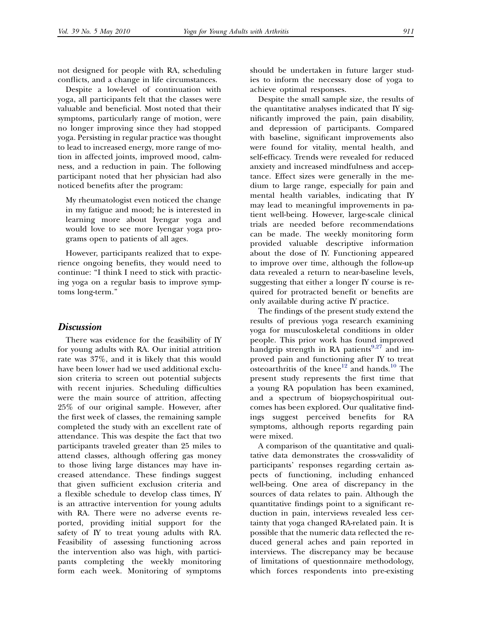not designed for people with RA, scheduling conflicts, and a change in life circumstances.

Despite a low-level of continuation with yoga, all participants felt that the classes were valuable and beneficial. Most noted that their symptoms, particularly range of motion, were no longer improving since they had stopped yoga. Persisting in regular practice was thought to lead to increased energy, more range of motion in affected joints, improved mood, calmness, and a reduction in pain. The following participant noted that her physician had also noticed benefits after the program:

My rheumatologist even noticed the change in my fatigue and mood; he is interested in learning more about Iyengar yoga and would love to see more Iyengar yoga programs open to patients of all ages.

However, participants realized that to experience ongoing benefits, they would need to continue: ''I think I need to stick with practicing yoga on a regular basis to improve symptoms long-term.''

## **Discussion**

There was evidence for the feasibility of IY for young adults with RA. Our initial attrition rate was 37%, and it is likely that this would have been lower had we used additional exclusion criteria to screen out potential subjects with recent injuries. Scheduling difficulties were the main source of attrition, affecting 25% of our original sample. However, after the first week of classes, the remaining sample completed the study with an excellent rate of attendance. This was despite the fact that two participants traveled greater than 25 miles to attend classes, although offering gas money to those living large distances may have increased attendance. These findings suggest that given sufficient exclusion criteria and a flexible schedule to develop class times, IY is an attractive intervention for young adults with RA. There were no adverse events reported, providing initial support for the safety of IY to treat young adults with RA. Feasibility of assessing functioning across the intervention also was high, with participants completing the weekly monitoring form each week. Monitoring of symptoms

should be undertaken in future larger studies to inform the necessary dose of yoga to achieve optimal responses.

Despite the small sample size, the results of the quantitative analyses indicated that IY significantly improved the pain, pain disability, and depression of participants. Compared with baseline, significant improvements also were found for vitality, mental health, and self-efficacy. Trends were revealed for reduced anxiety and increased mindfulness and acceptance. Effect sizes were generally in the medium to large range, especially for pain and mental health variables, indicating that IY may lead to meaningful improvements in patient well-being. However, large-scale clinical trials are needed before recommendations can be made. The weekly monitoring form provided valuable descriptive information about the dose of IY. Functioning appeared to improve over time, although the follow-up data revealed a return to near-baseline levels, suggesting that either a longer IY course is required for protracted benefit or benefits are only available during active IY practice.

The findings of the present study extend the results of previous yoga research examining yoga for musculoskeletal conditions in older people. This prior work has found improved handgrip strength in RA patients $9.27$  and improved pain and functioning after IY to treat osteoarthritis of the knee $12$  and hands.<sup>[10](#page-9-0)</sup> The present study represents the first time that a young RA population has been examined, and a spectrum of biopsychospiritual outcomes has been explored. Our qualitative findings suggest perceived benefits for RA symptoms, although reports regarding pain were mixed.

A comparison of the quantitative and qualitative data demonstrates the cross-validity of participants' responses regarding certain aspects of functioning, including enhanced well-being. One area of discrepancy in the sources of data relates to pain. Although the quantitative findings point to a significant reduction in pain, interviews revealed less certainty that yoga changed RA-related pain. It is possible that the numeric data reflected the reduced general aches and pain reported in interviews. The discrepancy may be because of limitations of questionnaire methodology, which forces respondents into pre-existing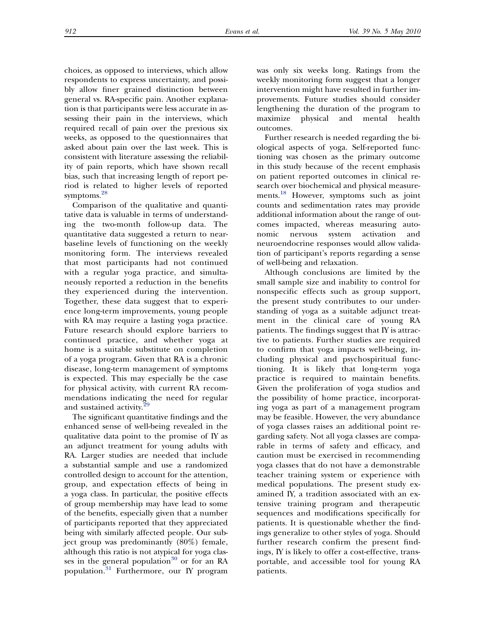choices, as opposed to interviews, which allow respondents to express uncertainty, and possibly allow finer grained distinction between general vs. RA-specific pain. Another explanation is that participants were less accurate in assessing their pain in the interviews, which required recall of pain over the previous six weeks, as opposed to the questionnaires that asked about pain over the last week. This is consistent with literature assessing the reliability of pain reports, which have shown recall bias, such that increasing length of report period is related to higher levels of reported symptoms.<sup>[28](#page-9-0)</sup>

Comparison of the qualitative and quantitative data is valuable in terms of understanding the two-month follow-up data. The quantitative data suggested a return to nearbaseline levels of functioning on the weekly monitoring form. The interviews revealed that most participants had not continued with a regular yoga practice, and simultaneously reported a reduction in the benefits they experienced during the intervention. Together, these data suggest that to experience long-term improvements, young people with RA may require a lasting yoga practice. Future research should explore barriers to continued practice, and whether yoga at home is a suitable substitute on completion of a yoga program. Given that RA is a chronic disease, long-term management of symptoms is expected. This may especially be the case for physical activity, with current RA recommendations indicating the need for regular and sustained activity.

The significant quantitative findings and the enhanced sense of well-being revealed in the qualitative data point to the promise of IY as an adjunct treatment for young adults with RA. Larger studies are needed that include a substantial sample and use a randomized controlled design to account for the attention, group, and expectation effects of being in a yoga class. In particular, the positive effects of group membership may have lead to some of the benefits, especially given that a number of participants reported that they appreciated being with similarly affected people. Our subject group was predominantly (80%) female, although this ratio is not atypical for yoga clas-ses in the general population<sup>[30](#page-9-0)</sup> or for an RA population.[31](#page-9-0) Furthermore, our IY program

was only six weeks long. Ratings from the weekly monitoring form suggest that a longer intervention might have resulted in further improvements. Future studies should consider lengthening the duration of the program to maximize physical and mental health outcomes.

Further research is needed regarding the biological aspects of yoga. Self-reported functioning was chosen as the primary outcome in this study because of the recent emphasis on patient reported outcomes in clinical research over biochemical and physical measurements.[18](#page-9-0) However, symptoms such as joint counts and sedimentation rates may provide additional information about the range of outcomes impacted, whereas measuring autonomic nervous system activation and neuroendocrine responses would allow validation of participant's reports regarding a sense of well-being and relaxation.

Although conclusions are limited by the small sample size and inability to control for nonspecific effects such as group support, the present study contributes to our understanding of yoga as a suitable adjunct treatment in the clinical care of young RA patients. The findings suggest that IY is attractive to patients. Further studies are required to confirm that yoga impacts well-being, including physical and psychospiritual functioning. It is likely that long-term yoga practice is required to maintain benefits. Given the proliferation of yoga studios and the possibility of home practice, incorporating yoga as part of a management program may be feasible. However, the very abundance of yoga classes raises an additional point regarding safety. Not all yoga classes are comparable in terms of safety and efficacy, and caution must be exercised in recommending yoga classes that do not have a demonstrable teacher training system or experience with medical populations. The present study examined IY, a tradition associated with an extensive training program and therapeutic sequences and modifications specifically for patients. It is questionable whether the findings generalize to other styles of yoga. Should further research confirm the present findings, IY is likely to offer a cost-effective, transportable, and accessible tool for young RA patients.